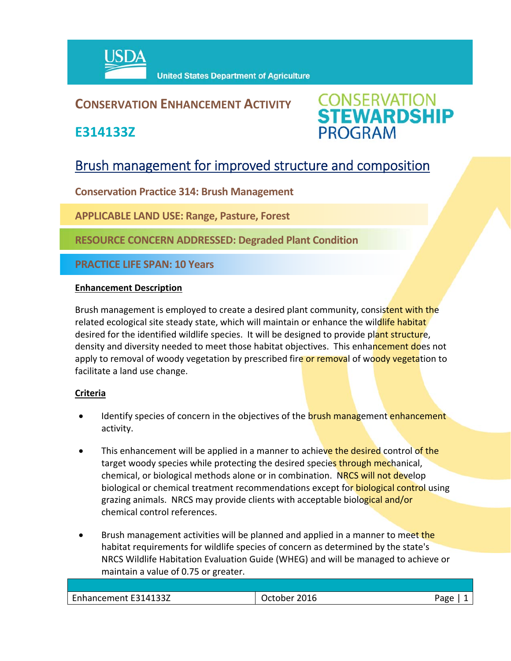

## **CONSERVATION ENHANCEMENT ACTIVITY**

**E314133Z**

**CONSERVATION<br>STEWARDSHIP PROGRAM** 

# Brush management for improved structure and composition

**Conservation Practice 314: Brush Management** 

**APPLICABLE LAND USE: Range, Pasture, Forest** 

**RESOURCE CONCERN ADDRESSED: Degraded Plant Condition**

**PRACTICE LIFE SPAN: 10 Years**

### **Enhancement Description**

Brush management is employed to create a desired plant community, consistent with the related ecological site steady state, which will maintain or enhance the wildlife habitat desired for the identified wildlife species. It will be designed to provide plant structure, density and diversity needed to meet those habitat objectives. This enhancement does not apply to removal of woody vegetation by prescribed fire or removal of woody vegetation to facilitate a land use change.

### **Criteria**

- Identify species of concern in the objectives of the brush management enhancement activity.
- This enhancement will be applied in a manner to achieve the desired control of the target woody species while protecting the desired species through mechanical, chemical, or biological methods alone or in combination. NRCS will not develop biological or chemical treatment recommendations except for **biological control** using grazing animals. NRCS may provide clients with acceptable biological and/or chemical control references.
- Brush management activities will be planned and applied in a manner to meet the habitat requirements for wildlife species of concern as determined by the state's NRCS Wildlife Habitation Evaluation Guide (WHEG) and will be managed to achieve or maintain a value of 0.75 or greater.

| Enhancement E314133Z<br>2016<br>≙סבי<br>)ctober |  |  |
|-------------------------------------------------|--|--|
|                                                 |  |  |